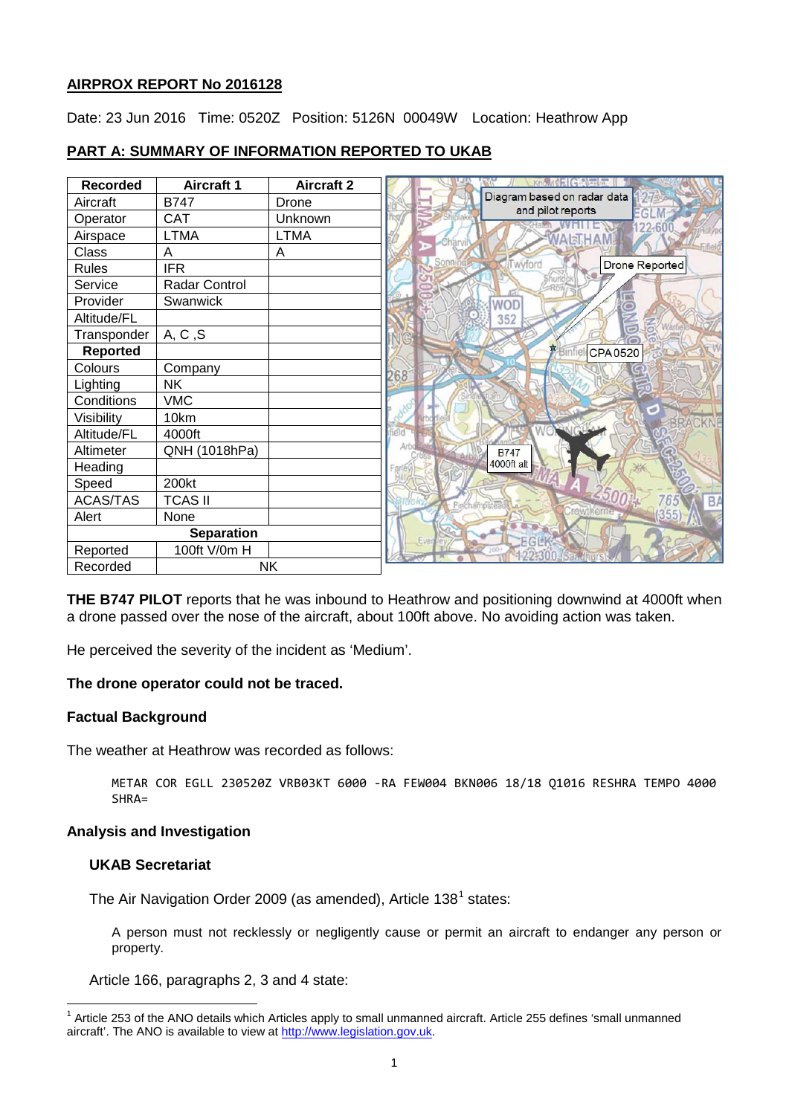# **AIRPROX REPORT No 2016128**

Date: 23 Jun 2016 Time: 0520Z Position: 5126N 00049W Location: Heathrow App

| <b>Recorded</b>   | <b>Aircraft 1</b> | <b>Aircraft 2</b> |                             |
|-------------------|-------------------|-------------------|-----------------------------|
| Aircraft          | <b>B747</b>       | Drone             | Diagram based on radar data |
| Operator          | <b>CAT</b>        | Unknown           | and pilot reports<br>EGLI   |
| Airspace          | <b>LTMA</b>       | <b>LTMA</b>       | 22.60<br>VARIH              |
| Class             | A                 | Α                 |                             |
| <b>Rules</b>      | <b>IFR</b>        |                   | wyford<br>Drone Reported    |
| Service           | Radar Control     |                   |                             |
| Provider          | Swanwick          |                   | WOD                         |
| Altitude/FL       |                   |                   | 352                         |
| Transponder       | A, C, S           |                   | $\equiv$                    |
| <b>Reported</b>   |                   |                   | <b>CPA0520</b>              |
| Colours           | Company           |                   | 268                         |
| Lighting          | <b>NK</b>         |                   |                             |
| Conditions        | <b>VMC</b>        |                   |                             |
| Visibility        | 10km              |                   | ø                           |
| Altitude/FL       | 4000ft            |                   |                             |
| Altimeter         | QNH (1018hPa)     |                   | <b>B747</b>                 |
| Heading           |                   |                   | 4000ft alt                  |
| Speed             | 200kt             |                   |                             |
| <b>ACAS/TAS</b>   | <b>TCAS II</b>    |                   |                             |
| Alert             | None              |                   |                             |
| <b>Separation</b> |                   |                   |                             |
| Reported          | 100ft V/0m H      |                   |                             |
| Recorded          | <b>NK</b>         |                   |                             |

# **PART A: SUMMARY OF INFORMATION REPORTED TO UKAB**

**THE B747 PILOT** reports that he was inbound to Heathrow and positioning downwind at 4000ft when a drone passed over the nose of the aircraft, about 100ft above. No avoiding action was taken.

He perceived the severity of the incident as 'Medium'.

### **The drone operator could not be traced.**

### **Factual Background**

The weather at Heathrow was recorded as follows:

METAR COR EGLL 230520Z VRB03KT 6000 -RA FEW004 BKN006 18/18 Q1016 RESHRA TEMPO 4000 SHRA=

#### **Analysis and Investigation**

## **UKAB Secretariat**

The Air Navigation Order 2009 (as amended), Article [1](#page-0-0)38<sup>1</sup> states:

A person must not recklessly or negligently cause or permit an aircraft to endanger any person or property.

Article 166, paragraphs 2, 3 and 4 state:

<span id="page-0-0"></span><sup>1</sup> Article 253 of the ANO details which Articles apply to small unmanned aircraft. Article 255 defines 'small unmanned aircraft'. The ANO is available to view at [http://www.legislation.gov.uk.](http://www.legislation.gov.uk/)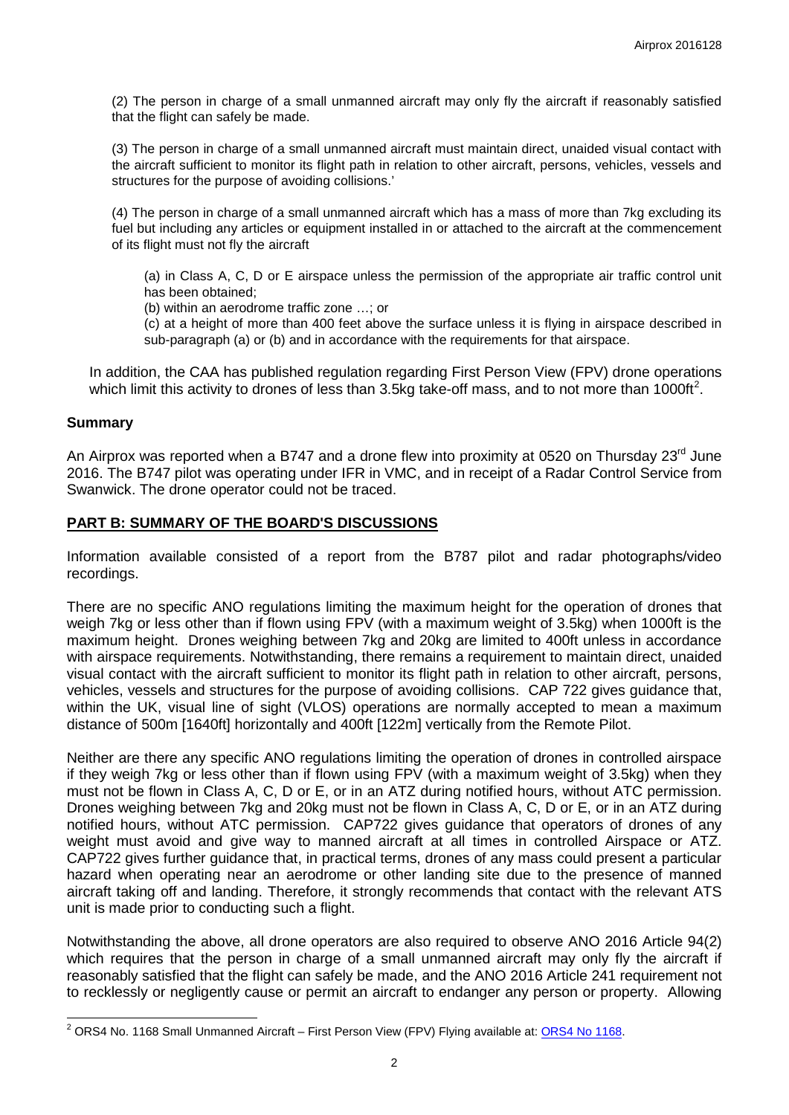(2) The person in charge of a small unmanned aircraft may only fly the aircraft if reasonably satisfied that the flight can safely be made.

(3) The person in charge of a small unmanned aircraft must maintain direct, unaided visual contact with the aircraft sufficient to monitor its flight path in relation to other aircraft, persons, vehicles, vessels and structures for the purpose of avoiding collisions.'

(4) The person in charge of a small unmanned aircraft which has a mass of more than 7kg excluding its fuel but including any articles or equipment installed in or attached to the aircraft at the commencement of its flight must not fly the aircraft

(a) in Class A, C, D or E airspace unless the permission of the appropriate air traffic control unit has been obtained;

(b) within an aerodrome traffic zone …; or

(c) at a height of more than 400 feet above the surface unless it is flying in airspace described in sub-paragraph (a) or (b) and in accordance with the requirements for that airspace.

In addition, the CAA has published regulation regarding First Person View (FPV) drone operations which limit this activity to drones of less than 3.5kg take-off mass, and to not more than 1000ft<sup>[2](#page-1-0)</sup>.

### **Summary**

An Airprox was reported when a B747 and a drone flew into proximity at 0520 on Thursday 23<sup>rd</sup> June 2016. The B747 pilot was operating under IFR in VMC, and in receipt of a Radar Control Service from Swanwick. The drone operator could not be traced.

## **PART B: SUMMARY OF THE BOARD'S DISCUSSIONS**

Information available consisted of a report from the B787 pilot and radar photographs/video recordings.

There are no specific ANO regulations limiting the maximum height for the operation of drones that weigh 7kg or less other than if flown using FPV (with a maximum weight of 3.5kg) when 1000ft is the maximum height. Drones weighing between 7kg and 20kg are limited to 400ft unless in accordance with airspace requirements. Notwithstanding, there remains a requirement to maintain direct, unaided visual contact with the aircraft sufficient to monitor its flight path in relation to other aircraft, persons, vehicles, vessels and structures for the purpose of avoiding collisions. CAP 722 gives guidance that, within the UK, visual line of sight (VLOS) operations are normally accepted to mean a maximum distance of 500m [1640ft] horizontally and 400ft [122m] vertically from the Remote Pilot.

Neither are there any specific ANO regulations limiting the operation of drones in controlled airspace if they weigh 7kg or less other than if flown using FPV (with a maximum weight of 3.5kg) when they must not be flown in Class A, C, D or E, or in an ATZ during notified hours, without ATC permission. Drones weighing between 7kg and 20kg must not be flown in Class A, C, D or E, or in an ATZ during notified hours, without ATC permission. CAP722 gives guidance that operators of drones of any weight must avoid and give way to manned aircraft at all times in controlled Airspace or ATZ. CAP722 gives further guidance that, in practical terms, drones of any mass could present a particular hazard when operating near an aerodrome or other landing site due to the presence of manned aircraft taking off and landing. Therefore, it strongly recommends that contact with the relevant ATS unit is made prior to conducting such a flight.

Notwithstanding the above, all drone operators are also required to observe ANO 2016 Article 94(2) which requires that the person in charge of a small unmanned aircraft may only fly the aircraft if reasonably satisfied that the flight can safely be made, and the ANO 2016 Article 241 requirement not to recklessly or negligently cause or permit an aircraft to endanger any person or property. Allowing

<span id="page-1-0"></span><sup>&</sup>lt;sup>2</sup> ORS4 No. 1168 Small Unmanned Aircraft – First Person View (FPV) Flying available at: **ORS4 No 1168**.